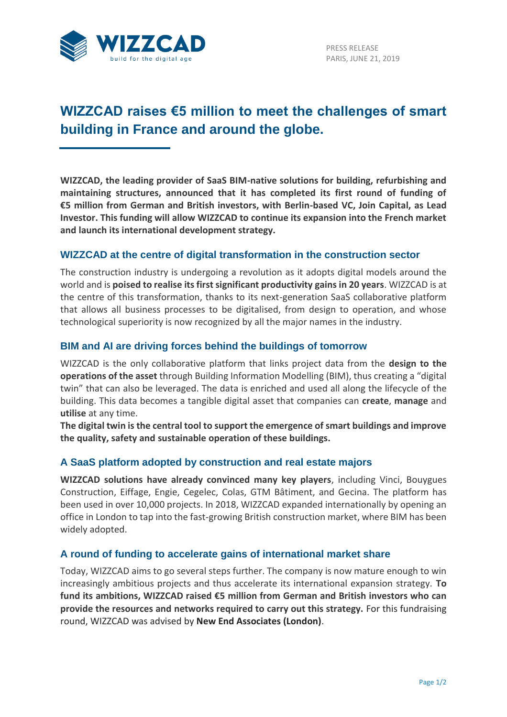

# **WIZZCAD raises €5 million to meet the challenges of smart building in France and around the globe.**

**WIZZCAD, the leading provider of SaaS BIM-native solutions for building, refurbishing and maintaining structures, announced that it has completed its first round of funding of €5 million from German and British investors, with Berlin-based VC, Join Capital, as Lead Investor. This funding will allow WIZZCAD to continue its expansion into the French market and launch its international development strategy.**

# **WIZZCAD at the centre of digital transformation in the construction sector**

The construction industry is undergoing a revolution as it adopts digital models around the world and is **poised to realise its first significant productivity gains in 20 years**. WIZZCAD is at the centre of this transformation, thanks to its next-generation SaaS collaborative platform that allows all business processes to be digitalised, from design to operation, and whose technological superiority is now recognized by all the major names in the industry.

# **BIM and AI are driving forces behind the buildings of tomorrow**

WIZZCAD is the only collaborative platform that links project data from the **design to the operations of the asset** through Building Information Modelling (BIM), thus creating a "digital twin" that can also be leveraged. The data is enriched and used all along the lifecycle of the building. This data becomes a tangible digital asset that companies can **create**, **manage** and **utilise** at any time.

**The digital twin is the central tool to support the emergence of smart buildings and improve the quality, safety and sustainable operation of these buildings.**

## **A SaaS platform adopted by construction and real estate majors**

**WIZZCAD solutions have already convinced many key players**, including Vinci, Bouygues Construction, Eiffage, Engie, Cegelec, Colas, GTM Bâtiment, and Gecina. The platform has been used in over 10,000 projects. In 2018, WIZZCAD expanded internationally by opening an office in London to tap into the fast-growing British construction market, where BIM has been widely adopted.

## **A round of funding to accelerate gains of international market share**

Today, WIZZCAD aims to go several steps further. The company is now mature enough to win increasingly ambitious projects and thus accelerate its international expansion strategy. **To fund its ambitions, WIZZCAD raised €5 million from German and British investors who can provide the resources and networks required to carry out this strategy.** For this fundraising round, WIZZCAD was advised by **New End Associates (London)**.